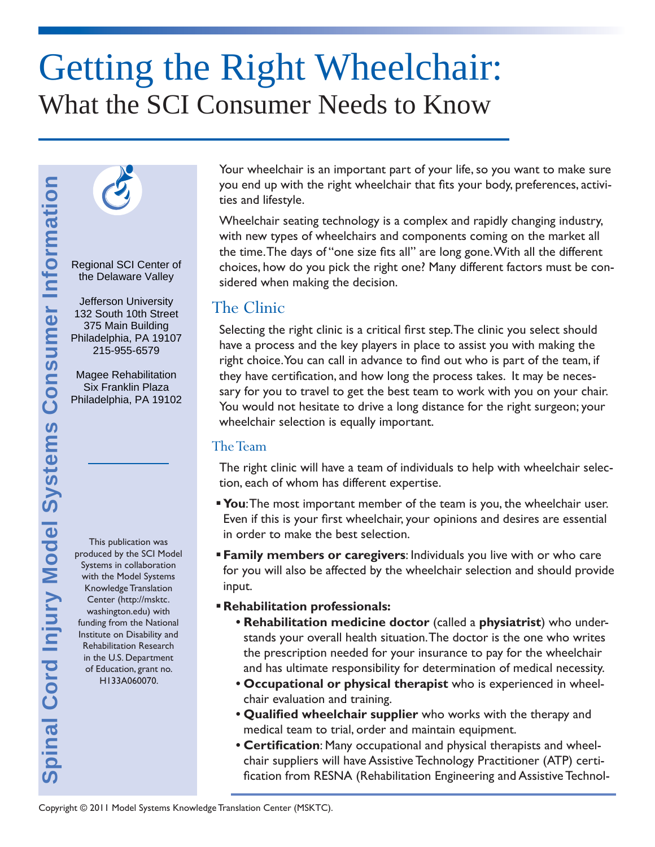# Getting the Right Wheelchair: What the SCI Consumer Needs to Know



Regional SCI Center of the Delaware Valley

Jefferson University 132 South 10th Street 375 Main Building Philadelphia, PA 19107 215-955-6579

Magee Rehabilitation Six Franklin Plaza Philadelphia, PA 19102

**Spinal Cord Injury Model Systems Consumer Information**

ipinal Cord Injury Model Systems Consumer Information

This publication was produced by the SCI Model Systems in collaboration with the Model Systems Knowledge Translation Center (http://msktc. washington.edu) with funding from the National Institute on Disability and Rehabilitation Research in the U.S. Department of Education, grant no. H133A060070.

Your wheelchair is an important part of your life, so you want to make sure you end up with the right wheelchair that fits your body, preferences, activities and lifestyle.

Wheelchair seating technology is a complex and rapidly changing industry, with new types of wheelchairs and components coming on the market all the time. The days of "one size fits all" are long gone. With all the different choices, how do you pick the right one? Many different factors must be considered when making the decision.

## The Clinic

Selecting the right clinic is a critical first step. The clinic you select should have a process and the key players in place to assist you with making the right choice. You can call in advance to find out who is part of the team, if they have certification, and how long the process takes. It may be necessary for you to travel to get the best team to work with you on your chair. You would not hesitate to drive a long distance for the right surgeon; your wheelchair selection is equally important.

#### The Team

The right clinic will have a team of individuals to help with wheelchair selection, each of whom has different expertise.

- **You:** The most important member of the team is you, the wheelchair user. Even if this is your first wheelchair, your opinions and desires are essential in order to make the best selection.
- **Family members or caregivers**: Individuals you live with or who care for you will also be affected by the wheelchair selection and should provide input.
- **Rehabilitation professionals:**
	- **Rehabilitation medicine doctor** (called a **physiatrist**) who understands your overall health situation. The doctor is the one who writes the prescription needed for your insurance to pay for the wheelchair and has ultimate responsibility for determination of medical necessity.
	- **Occupational or physical therapist** who is experienced in wheelchair evaluation and training.
	- Qualified wheelchair supplier who works with the therapy and medical team to trial, order and maintain equipment.
	- **Certification:** Many occupational and physical therapists and wheelchair suppliers will have Assistive Technology Practitioner (ATP) certification from RESNA (Rehabilitation Engineering and Assistive Technol-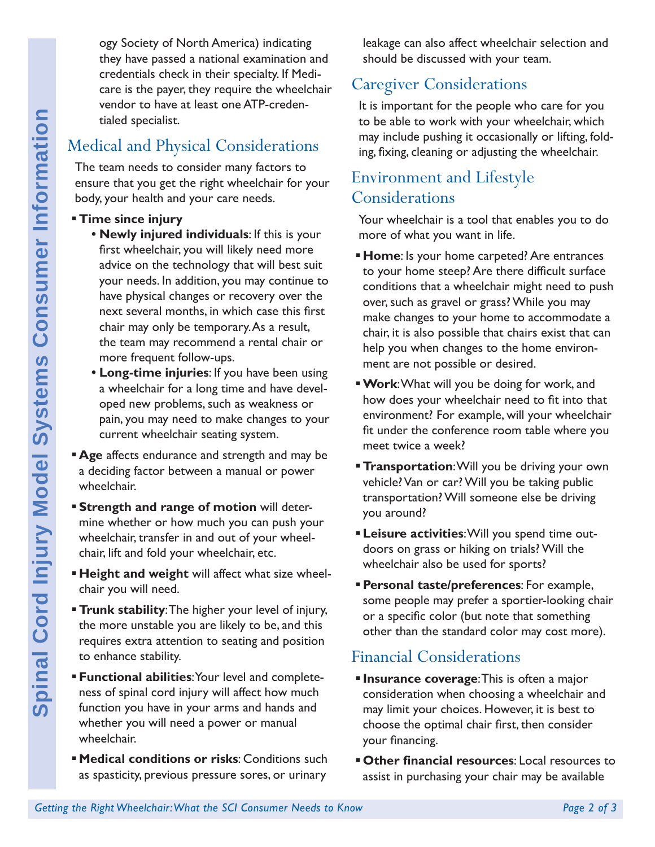ogy Society of North America) indicating they have passed a national examination and credentials check in their specialty. If Medicare is the payer, they require the wheelchair vendor to have at least one ATP-credentialed specialist.

# Medical and Physical Considerations

The team needs to consider many factors to ensure that you get the right wheelchair for your body, your health and your care needs.

- **Time since injury**
- **Getting the Right What the Right What the Right Wheelchair:** The team needs to consider any factors to **consumer that you getter herity where the Right Wheelchair for your First wheelchair you will likely need more avoid • Newly injured individuals**: If this is your first wheelchair, you will likely need more advice on the technology that will best suit your needs. In addition, you may continue to have physical changes or recovery over the next several months, in which case this first chair may only be temporary. As a result, the team may recommend a rental chair or more frequent follow-ups.
	- **Long-time injuries**: If you have been using a wheelchair for a long time and have developed new problems, such as weakness or pain, you may need to make changes to your current wheelchair seating system.
	- **Age** affects endurance and strength and may be a deciding factor between a manual or power wheelchair.
	- **Strength and range of motion** will determine whether or how much you can push your wheelchair, transfer in and out of your wheelchair, lift and fold your wheelchair, etc.
	- **Height and weight** will affect what size wheelchair you will need.
	- **Trunk stability**: The higher your level of injury, the more unstable you are likely to be, and this requires extra attention to seating and position to enhance stability.
	- **Functional abilities**: Your level and completeness of spinal cord injury will affect how much function you have in your arms and hands and whether you will need a power or manual wheelchair.
	- **Medical conditions or risks**: Conditions such as spasticity, previous pressure sores, or urinary

leakage can also affect wheelchair selection and should be discussed with your team.

# Caregiver Considerations

It is important for the people who care for you to be able to work with your wheelchair, which may include pushing it occasionally or lifting, folding, fixing, cleaning or adjusting the wheelchair.

## Environment and Lifestyle Considerations

Your wheelchair is a tool that enables you to do more of what you want in life.

- **Home**: Is your home carpeted? Are entrances to your home steep? Are there difficult surface conditions that a wheelchair might need to push over, such as gravel or grass? While you may make changes to your home to accommodate a chair, it is also possible that chairs exist that can help you when changes to the home environment are not possible or desired.
- **Work**: What will you be doing for work, and how does your wheelchair need to fit into that environment? For example, will your wheelchair fit under the conference room table where you meet twice a week?
- **Transportation:** Will you be driving your own vehicle? Van or car? Will you be taking public transportation? Will someone else be driving you around?
- **Leisure activities**: Will you spend time outdoors on grass or hiking on trials? Will the wheelchair also be used for sports?
- **Personal taste/preferences**: For example, some people may prefer a sportier-looking chair or a specific color (but note that something other than the standard color may cost more).

#### Financial Considerations

- **Insurance coverage: This is often a major** consideration when choosing a wheelchair and may limit your choices. However, it is best to choose the optimal chair first, then consider your financing.
- **Other financial resources:** Local resources to assist in purchasing your chair may be available